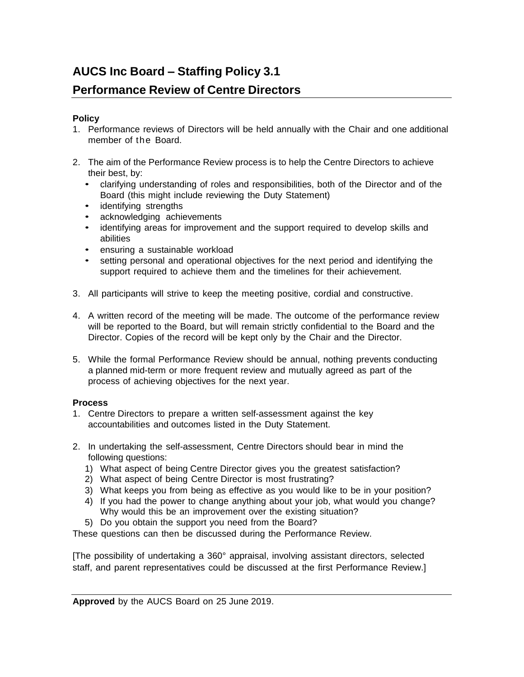# **AUCS Inc Board – Staffing Policy 3.1**

# **Performance Review of Centre Directors**

### **Policy**

- 1. Performance reviews of Directors will be held annually with the Chair and one additional member of the Board.
- 2. The aim of the Performance Review process is to help the Centre Directors to achieve their best, by:
	- clarifying understanding of roles and responsibilities, both of the Director and of the Board (this might include reviewing the Duty Statement)
	- identifying strengths
	- acknowledging achievements
	- identifying areas for improvement and the support required to develop skills and abilities
	- ensuring a sustainable workload
	- setting personal and operational objectives for the next period and identifying the support required to achieve them and the timelines for their achievement.
- 3. All participants will strive to keep the meeting positive, cordial and constructive.
- 4. A written record of the meeting will be made. The outcome of the performance review will be reported to the Board, but will remain strictly confidential to the Board and the Director. Copies of the record will be kept only by the Chair and the Director.
- 5. While the formal Performance Review should be annual, nothing prevents conducting a planned mid-term or more frequent review and mutually agreed as part of the process of achieving objectives for the next year.

### **Process**

- 1. Centre Directors to prepare a written self-assessment against the key accountabilities and outcomes listed in the Duty Statement.
- 2. In undertaking the self-assessment, Centre Directors should bear in mind the following questions:
	- 1) What aspect of being Centre Director gives you the greatest satisfaction?
	- 2) What aspect of being Centre Director is most frustrating?
	- 3) What keeps you from being as effective as you would like to be in your position?
	- 4) If you had the power to change anything about your job, what would you change? Why would this be an improvement over the existing situation?
	- 5) Do you obtain the support you need from the Board?

These questions can then be discussed during the Performance Review.

[The possibility of undertaking a 360° appraisal, involving assistant directors, selected staff, and parent representatives could be discussed at the first Performance Review.]